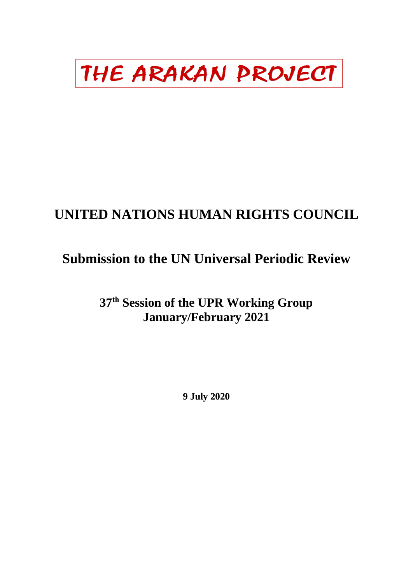# THE ARAKAN PROJECT

## **UNITED NATIONS HUMAN RIGHTS COUNCIL**

### **Submission to the UN Universal Periodic Review**

**37th Session of the UPR Working Group January/February 2021** 

**9 July 2020**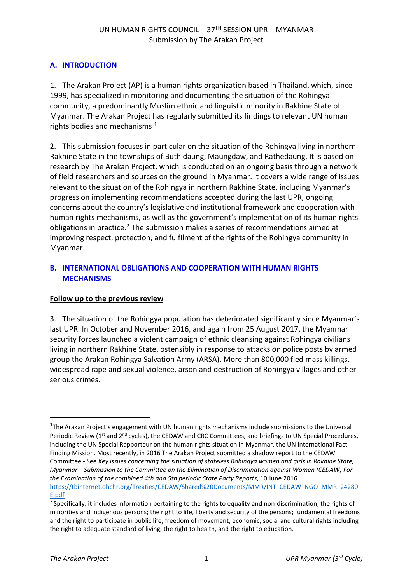#### **A. INTRODUCTION**

1. The Arakan Project (AP) is a human rights organization based in Thailand, which, since 1999, has specialized in monitoring and documenting the situation of the Rohingya community, a predominantly Muslim ethnic and linguistic minority in Rakhine State of Myanmar. The Arakan Project has regularly submitted its findings to relevant UN human rights bodies and mechanisms  $1$ 

2. This submission focuses in particular on the situation of the Rohingya living in northern Rakhine State in the townships of Buthidaung, Maungdaw, and Rathedaung. It is based on research by The Arakan Project, which is conducted on an ongoing basis through a network of field researchers and sources on the ground in Myanmar. It covers a wide range of issues relevant to the situation of the Rohingya in northern Rakhine State, including Myanmar's progress on implementing recommendations accepted during the last UPR, ongoing concerns about the country's legislative and institutional framework and cooperation with human rights mechanisms, as well as the government's implementation of its human rights obligations in practice.<sup>[2](#page-1-1)</sup> The submission makes a series of recommendations aimed at improving respect, protection, and fulfilment of the rights of the Rohingya community in Myanmar.

#### **B. INTERNATIONAL OBLIGATIONS AND COOPERATION WITH HUMAN RIGHTS MECHANISMS**

#### **Follow up to the previous review**

3. The situation of the Rohingya population has deteriorated significantly since Myanmar's last UPR. In October and November 2016, and again from 25 August 2017, the Myanmar security forces launched a violent campaign of ethnic cleansing against Rohingya civilians living in northern Rakhine State, ostensibly in response to attacks on police posts by armed group the Arakan Rohingya Salvation Army (ARSA). More than 800,000 fled mass killings, widespread rape and sexual violence, arson and destruction of Rohingya villages and other serious crimes.

-

<span id="page-1-0"></span><sup>&</sup>lt;sup>1</sup>The Arakan Project's engagement with UN human rights mechanisms include submissions to the Universal Periodic Review (1<sup>st</sup> and 2<sup>nd</sup> cycles), the CEDAW and CRC Committees, and briefings to UN Special Procedures, including the UN Special Rapporteur on the human rights situation in Myanmar, the UN International Fact-Finding Mission. Most recently, in 2016 The Arakan Project submitted a shadow report to the CEDAW Committee - See *Key issues concerning the situation of stateless Rohingya women and girls in Rakhine State, Myanmar – Submission to the Committee on the Elimination of Discrimination against Women (CEDAW) For the Examination of the combined 4th and 5th periodic State Party Reports*, 10 June 2016. [https://tbinternet.ohchr.org/Treaties/CEDAW/Shared%20Documents/MMR/INT\\_CEDAW\\_NGO\\_MMR\\_24280\\_](https://tbinternet.ohchr.org/Treaties/CEDAW/Shared%20Documents/MMR/INT_CEDAW_NGO_MMR_24280_E.pdf) [E.pdf](https://tbinternet.ohchr.org/Treaties/CEDAW/Shared%20Documents/MMR/INT_CEDAW_NGO_MMR_24280_E.pdf)

<span id="page-1-1"></span><sup>&</sup>lt;sup>2</sup> Specifically, it includes information pertaining to the rights to equality and non-discrimination; the rights of minorities and indigenous persons; the right to life, liberty and security of the persons; fundamental freedoms and the right to participate in public life; freedom of movement; economic, social and cultural rights including the right to adequate standard of living, the right to health, and the right to education.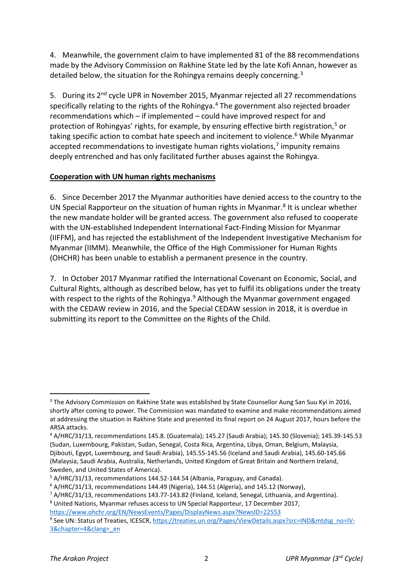4. Meanwhile, the government claim to have implemented 81 of the 88 recommendations made by the Advisory Commission on Rakhine State led by the late Kofi Annan, however as detailed below, the situation for the Rohingya remains deeply concerning.<sup>[3](#page-2-0)</sup>

5. During its  $2<sup>nd</sup>$  cycle UPR in November 2015. Myanmar rejected all 27 recommendations specifically relating to the rights of the Rohingya.<sup>[4](#page-2-1)</sup> The government also rejected broader recommendations which – if implemented – could have improved respect for and protection of Rohingyas' rights, for example, by ensuring effective birth registration,<sup>[5](#page-2-2)</sup> or taking specific action to combat hate speech and incitement to violence.<sup>[6](#page-2-3)</sup> While Myanmar accepted recommendations to investigate human rights violations,<sup>[7](#page-2-4)</sup> impunity remains deeply entrenched and has only facilitated further abuses against the Rohingya.

#### **Cooperation with UN human rights mechanisms**

6. Since December 2017 the Myanmar authorities have denied access to the country to the UN Special Rapporteur on the situation of human rights in Myanmar.<sup>[8](#page-2-5)</sup> It is unclear whether the new mandate holder will be granted access. The government also refused to cooperate with the UN-established Independent International Fact-Finding Mission for Myanmar (IIFFM), and has rejected the establishment of the Independent Investigative Mechanism for Myanmar (IIMM). Meanwhile, the Office of the High Commissioner for Human Rights (OHCHR) has been unable to establish a permanent presence in the country.

7. In October 2017 Myanmar ratified the International Covenant on Economic, Social, and Cultural Rights, although as described below, has yet to fulfil its obligations under the treaty with respect to the rights of the Rohingya.<sup>[9](#page-2-6)</sup> Although the Myanmar government engaged with the CEDAW review in 2016, and the Special CEDAW session in 2018, it is overdue in submitting its report to the Committee on the Rights of the Child.

1

<span id="page-2-0"></span><sup>&</sup>lt;sup>3</sup> The Advisory Commission on Rakhine State was established by State Counsellor Aung San Suu Kyi in 2016, shortly after coming to power. The Commission was mandated to examine and make recommendations aimed at addressing the situation in Rakhine State and presented its final report on 24 August 2017, hours before the ARSA attacks.

<span id="page-2-1"></span><sup>4</sup> A/HRC/31/13, recommendations 145.8. (Guatemala); 145.27 (Saudi Arabia); 145.30 (Slovenia); 145.39-145.53 (Sudan, Luxembourg, Pakistan, Sudan, Senegal, Costa Rica, Argentina, Libya, Oman, Belgium, Malaysia, Djibouti, Egypt, Luxembourg, and Saudi Arabia), 145.55-145.56 (Iceland and Saudi Arabia), 145.60-145.66 (Malaysia, Saudi Arabia, Australia, Netherlands, United Kingdom of Great Britain and Northern Ireland, Sweden, and United States of America).

<span id="page-2-2"></span><sup>5</sup> A/HRC/31/13, recommendations 144.52-144.54 (Albania, Paraguay, and Canada).

<span id="page-2-4"></span><span id="page-2-3"></span><sup>&</sup>lt;sup>6</sup> A/HRC/31/13, recommendations 144.49 (Nigeria), 144.51 (Algeria), and 145.12 (Norway),  $7$  A/HRC/31/13, recommendations 143.77-143.82 (Finland, Iceland, Senegal, Lithuania, and Argentina).

<span id="page-2-5"></span><sup>8</sup> United Nations, Myanmar refuses access to UN Special Rapporteur, 17 December 2017, <https://www.ohchr.org/EN/NewsEvents/Pages/DisplayNews.aspx?NewsID=22553>

<span id="page-2-6"></span><sup>9</sup> See UN: Status of Treaties, ICESCR[, https://treaties.un.org/Pages/ViewDetails.aspx?src=IND&mtdsg\\_no=IV-](https://treaties.un.org/Pages/ViewDetails.aspx?src=IND&mtdsg_no=IV-3&chapter=4&clang=_en)[3&chapter=4&clang=\\_en](https://treaties.un.org/Pages/ViewDetails.aspx?src=IND&mtdsg_no=IV-3&chapter=4&clang=_en)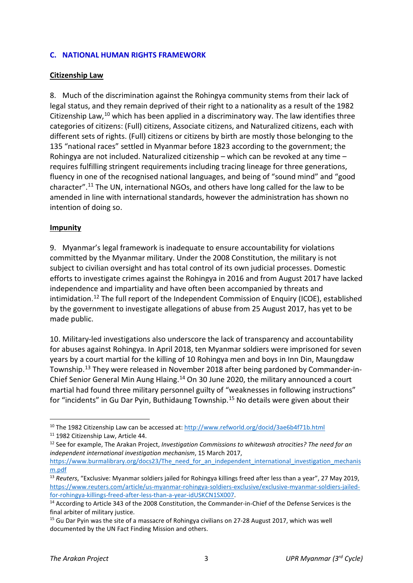#### **C. NATIONAL HUMAN RIGHTS FRAMEWORK**

#### **Citizenship Law**

8. Much of the discrimination against the Rohingya community stems from their lack of legal status, and they remain deprived of their right to a nationality as a result of the 1982 Citizenship Law, $^{10}$  $^{10}$  $^{10}$  which has been applied in a discriminatory way. The law identifies three categories of citizens: (Full) citizens, Associate citizens, and Naturalized citizens, each with different sets of rights. (Full) citizens or citizens by birth are mostly those belonging to the 135 "national races" settled in Myanmar before 1823 according to the government; the Rohingya are not included. Naturalized citizenship – which can be revoked at any time – requires fulfilling stringent requirements including tracing lineage for three generations, fluency in one of the recognised national languages, and being of "sound mind" and "good character". [11](#page-3-1) The UN, international NGOs, and others have long called for the law to be amended in line with international standards, however the administration has shown no intention of doing so.

#### **Impunity**

9. Myanmar's legal framework is inadequate to ensure accountability for violations committed by the Myanmar military. Under the 2008 Constitution, the military is not subject to civilian oversight and has total control of its own judicial processes. Domestic efforts to investigate crimes against the Rohingya in 2016 and from August 2017 have lacked independence and impartiality and have often been accompanied by threats and intimidation.<sup>[12](#page-3-2)</sup> The full report of the Independent Commission of Enquiry (ICOE), established by the government to investigate allegations of abuse from 25 August 2017, has yet to be made public.

10. Military-led investigations also underscore the lack of transparency and accountability for abuses against Rohingya. In April 2018, ten Myanmar soldiers were imprisoned for seven years by a court martial for the killing of 10 Rohingya men and boys in Inn Din, Maungdaw Township.[13](#page-3-3) They were released in November 2018 after being pardoned by Commander-in-Chief Senior General Min Aung Hlaing.[14](#page-3-4) On 30 June 2020, the military announced a court martial had found three military personnel guilty of "weaknesses in following instructions" for "incidents" in Gu Dar Pyin, Buthidaung Township.[15](#page-3-5) No details were given about their

1

<span id="page-3-0"></span><sup>&</sup>lt;sup>10</sup> The 1982 Citizenship Law can be accessed at:<http://www.refworld.org/docid/3ae6b4f71b.html>

<span id="page-3-1"></span><sup>&</sup>lt;sup>11</sup> 1982 Citizenship Law, Article 44.

<span id="page-3-2"></span><sup>12</sup> See for example, The Arakan Project, *Investigation Commissions to whitewash atrocities? The need for an independent international investigation mechanism*, 15 March 2017,

[https://www.burmalibrary.org/docs23/The\\_need\\_for\\_an\\_independent\\_international\\_investigation\\_mechanis](https://www.burmalibrary.org/docs23/The_need_for_an_independent_international_investigation_mechanism.pdf) [m.pdf](https://www.burmalibrary.org/docs23/The_need_for_an_independent_international_investigation_mechanism.pdf)

<span id="page-3-3"></span><sup>13</sup> *Reuters*, "Exclusive: Myanmar soldiers jailed for Rohingya killings freed after less than a year", 27 May 2019, [https://www.reuters.com/article/us-myanmar-rohingya-soldiers-exclusive/exclusive-myanmar-soldiers-jailed-](https://www.reuters.com/article/us-myanmar-rohingya-soldiers-exclusive/exclusive-myanmar-soldiers-jailed-for-rohingya-killings-freed-after-less-than-a-year-idUSKCN1SX007)

<span id="page-3-4"></span> $14$  According to Article 343 of the 2008 Constitution, the Commander-in-Chief of the Defense Services is the final arbiter of military justice.

<span id="page-3-5"></span><sup>&</sup>lt;sup>15</sup> Gu Dar Pyin was the site of a massacre of Rohingya civilians on 27-28 August 2017, which was well documented by the UN Fact Finding Mission and others.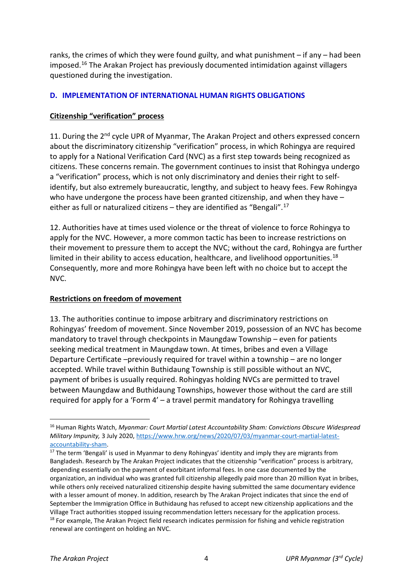ranks, the crimes of which they were found guilty, and what punishment – if any – had been imposed[.16](#page-4-0) The Arakan Project has previously documented intimidation against villagers questioned during the investigation.

#### **D. IMPLEMENTATION OF INTERNATIONAL HUMAN RIGHTS OBLIGATIONS**

#### **Citizenship "verification" process**

11. During the 2<sup>nd</sup> cycle UPR of Myanmar, The Arakan Project and others expressed concern about the discriminatory citizenship "verification" process, in which Rohingya are required to apply for a National Verification Card (NVC) as a first step towards being recognized as citizens. These concerns remain. The government continues to insist that Rohingya undergo a "verification" process, which is not only discriminatory and denies their right to selfidentify, but also extremely bureaucratic, lengthy, and subject to heavy fees. Few Rohingya who have undergone the process have been granted citizenship, and when they have – either as full or naturalized citizens  $-$  they are identified as "Bengali".<sup>[17](#page-4-1)</sup>

12. Authorities have at times used violence or the threat of violence to force Rohingya to apply for the NVC. However, a more common tactic has been to increase restrictions on their movement to pressure them to accept the NVC; without the card, Rohingya are further limited in their ability to access education, healthcare, and livelihood opportunities.<sup>[18](#page-4-2)</sup> Consequently, more and more Rohingya have been left with no choice but to accept the NVC.

#### **Restrictions on freedom of movement**

13. The authorities continue to impose arbitrary and discriminatory restrictions on Rohingyas' freedom of movement. Since November 2019, possession of an NVC has become mandatory to travel through checkpoints in Maungdaw Township – even for patients seeking medical treatment in Maungdaw town. At times, bribes and even a Village Departure Certificate –previously required for travel within a township – are no longer accepted. While travel within Buthidaung Township is still possible without an NVC, payment of bribes is usually required. Rohingyas holding NVCs are permitted to travel between Maungdaw and Buthidaung Townships, however those without the card are still required for apply for a 'Form 4' – a travel permit mandatory for Rohingya travelling

1

<span id="page-4-0"></span><sup>16</sup> Human Rights Watch, *Myanmar: Court Martial Latest Accountability Sham: Convictions Obscure Widespread Military Impunity,* 3 July 2020[, https://www.hrw.org/news/2020/07/03/myanmar-court-martial-latest-](https://www.hrw.org/news/2020/07/03/myanmar-court-martial-latest-accountability-sham)

<span id="page-4-2"></span><span id="page-4-1"></span>[accountability-sham.](https://www.hrw.org/news/2020/07/03/myanmar-court-martial-latest-accountability-sham)<br><sup>17</sup> The term 'Bengali' is used in Myanmar to deny Rohingyas' identity and imply they are migrants from Bangladesh. Research by The Arakan Project indicates that the citizenship "verification" process is arbitrary, depending essentially on the payment of exorbitant informal fees. In one case documented by the organization, an individual who was granted full citizenship allegedly paid more than 20 million Kyat in bribes, while others only received naturalized citizenship despite having submitted the same documentary evidence with a lesser amount of money. In addition, research by The Arakan Project indicates that since the end of September the Immigration Office in Buthidaung has refused to accept new citizenship applications and the Village Tract authorities stopped issuing recommendation letters necessary for the application process. <sup>18</sup> For example, The Arakan Project field research indicates permission for fishing and vehicle registration renewal are contingent on holding an NVC.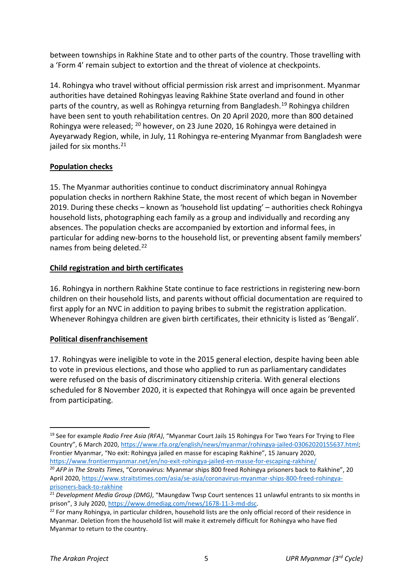between townships in Rakhine State and to other parts of the country. Those travelling with a 'Form 4' remain subject to extortion and the threat of violence at checkpoints.

14. Rohingya who travel without official permission risk arrest and imprisonment. Myanmar authorities have detained Rohingyas leaving Rakhine State overland and found in other parts of the country, as well as Rohingya returning from Bangladesh.[19](#page-5-0) Rohingya children have been sent to youth rehabilitation centres. On 20 April 2020, more than 800 detained Rohingya were released; [20](#page-5-1) however, on 23 June 2020, 16 Rohingya were detained in Ayeyarwady Region, while, in July, 11 Rohingya re-entering Myanmar from Bangladesh were jailed for six months.<sup>[21](#page-5-2)</sup>

#### **Population checks**

15. The Myanmar authorities continue to conduct discriminatory annual Rohingya population checks in northern Rakhine State, the most recent of which began in November 2019. During these checks – known as 'household list updating' – authorities check Rohingya household lists, photographing each family as a group and individually and recording any absences. The population checks are accompanied by extortion and informal fees, in particular for adding new-borns to the household list, or preventing absent family members' names from being deleted.<sup>[22](#page-5-3)</sup>

#### **Child registration and birth certificates**

16. Rohingya in northern Rakhine State continue to face restrictions in registering new-born children on their household lists, and parents without official documentation are required to first apply for an NVC in addition to paying bribes to submit the registration application. Whenever Rohingya children are given birth certificates, their ethnicity is listed as 'Bengali'.

#### **Political disenfranchisement**

17. Rohingyas were ineligible to vote in the 2015 general election, despite having been able to vote in previous elections, and those who applied to run as parliamentary candidates were refused on the basis of discriminatory citizenship criteria. With general elections scheduled for 8 November 2020, it is expected that Rohingya will once again be prevented from participating.

-

<span id="page-5-0"></span><sup>19</sup> See for example *Radio Free Asia (RFA)*, "Myanmar Court Jails 15 Rohingya For Two Years For Trying to Flee Country", 6 March 2020[, https://www.rfa.org/english/news/myanmar/rohingya-jailed-03062020155637.html;](https://www.rfa.org/english/news/myanmar/rohingya-jailed-03062020155637.html) Frontier Myanmar, "No exit: Rohingya jailed en masse for escaping Rakhine", 15 January 2020, <https://www.frontiermyanmar.net/en/no-exit-rohingya-jailed-en-masse-for-escaping-rakhine/>

<span id="page-5-1"></span><sup>20</sup> *AFP in The Straits Times*, "Coronavirus: Myanmar ships 800 freed Rohingya prisoners back to Rakhine", 20 April 2020[, https://www.straitstimes.com/asia/se-asia/coronavirus-myanmar-ships-800-freed-rohingya](https://www.straitstimes.com/asia/se-asia/coronavirus-myanmar-ships-800-freed-rohingya-prisoners-back-to-rakhine)[prisoners-back-to-rakhine](https://www.straitstimes.com/asia/se-asia/coronavirus-myanmar-ships-800-freed-rohingya-prisoners-back-to-rakhine)

<span id="page-5-2"></span><sup>21</sup> *D*e*velopment Media Group (DMG)*, "Maungdaw Twsp Court sentences 11 unlawful entrants to six months in prison", 3 July 2020, [https://www.dmediag.com/news/1678-11-3-md-dsc.](https://www.dmediag.com/news/1678-11-3-md-dsc)

<span id="page-5-3"></span> $22$  For many Rohingya, in particular children, household lists are the only official record of their residence in Myanmar. Deletion from the household list will make it extremely difficult for Rohingya who have fled Myanmar to return to the country.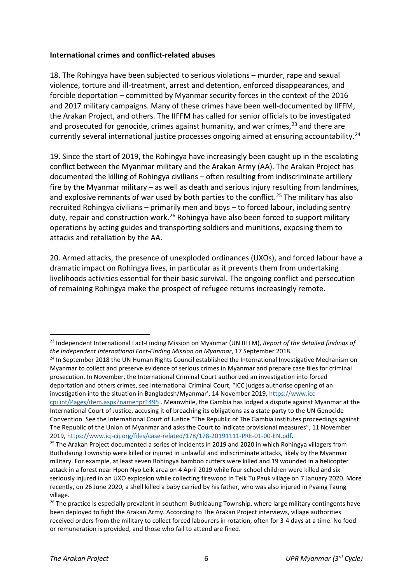#### **International crimes and conflict-related abuses**

18. The Rohingya have been subjected to serious violations – murder, rape and sexual violence, torture and ill-treatment, arrest and detention, enforced disappearances, and forcible deportation – committed by Myanmar security forces in the context of the 2016 and 2017 military campaigns. Many of these crimes have been well-documented by IIFFM, the Arakan Project, and others. The IIFFM has called for senior officials to be investigated and prosecuted for genocide, crimes against humanity, and war crimes.<sup>[23](#page-6-0)</sup> and there are currently several international justice processes ongoing aimed at ensuring accountability.<sup>[24](#page-6-1)</sup>

19. Since the start of 2019, the Rohingya have increasingly been caught up in the escalating conflict between the Myanmar military and the Arakan Army (AA). The Arakan Project has documented the killing of Rohingya civilians – often resulting from indiscriminate artillery fire by the Myanmar military – as well as death and serious injury resulting from landmines, and explosive remnants of war used by both parties to the conflict.<sup>[25](#page-6-2)</sup> The military has also recruited Rohingya civilians – primarily men and boys – to forced labour, including sentry duty, repair and construction work.<sup>[26](#page-6-3)</sup> Rohingya have also been forced to support military operations by acting guides and transporting soldiers and munitions, exposing them to attacks and retaliation by the AA.

20. Armed attacks, the presence of unexploded ordinances (UXOs), and forced labour have a dramatic impact on Rohingya lives, in particular as it prevents them from undertaking livelihoods activities essential for their basic survival. The ongoing conflict and persecution of remaining Rohingya make the prospect of refugee returns increasingly remote.

-

<span id="page-6-0"></span><sup>23</sup> Independent International Fact-Finding Mission on Myanmar (UN IIFFM), *Report of the detailed findings of the Independent International Fact-Finding Mission on Myanmar*, 17 September 2018.

<span id="page-6-1"></span><sup>&</sup>lt;sup>24</sup> In September 2018 the UN Human Rights Council established the International Investigative Mechanism on Myanmar to collect and preserve evidence of serious crimes in Myanmar and prepare case files for criminal prosecution. In November, the International Criminal Court authorized an investigation into forced deportation and others crimes, see International Criminal Court, "ICC judges authorise opening of an investigation into the situation in Bangladesh/Myanmar', 14 November 2019[, https://www.icc-](https://www.icc-cpi.int/Pages/item.aspx?name=pr1495)

[cpi.int/Pages/item.aspx?name=pr1495](https://www.icc-cpi.int/Pages/item.aspx?name=pr1495) . Meanwhile, the Gambia has lodged a dispute against Myanmar at the International Court of Justice, accusing it of breaching its obligations as a state party to the UN Genocide Convention. See the International Court of Justice "The Republic of The Gambia institutes proceedings against The Republic of the Union of Myanmar and asks the Court to indicate provisional measures", 11 November 2019, [https://www.icj-cij.org/files/case-related/178/178-20191111-PRE-01-00-EN.pdf.](https://www.icj-cij.org/files/case-related/178/178-20191111-PRE-01-00-EN.pdf)

<span id="page-6-2"></span> $25$  The Arakan Project documented a series of incidents in 2019 and 2020 in which Rohingya villagers from Buthidaung Township were killed or injured in unlawful and indiscriminate attacks, likely by the Myanmar military. For example, at least seven Rohingya bamboo cutters were killed and 19 wounded in a helicopter attack in a forest near Hpon Nyo Leik area on 4 April 2019 while four school children were killed and six seriously injured in an UXO explosion while collecting firewood in Teik Tu Pauk village on 7 January 2020. More recently, on 26 June 2020, a shell killed a baby carried by his father, who was also injured in Pyaing Taung village.

<span id="page-6-3"></span><sup>&</sup>lt;sup>26</sup> The practice is especially prevalent in southern Buthidaung Township, where large military contingents have been deployed to fight the Arakan Army. According to The Arakan Project interviews, village authorities received orders from the military to collect forced labourers in rotation, often for 3-4 days at a time. No food or remuneration is provided, and those who fail to attend are fined.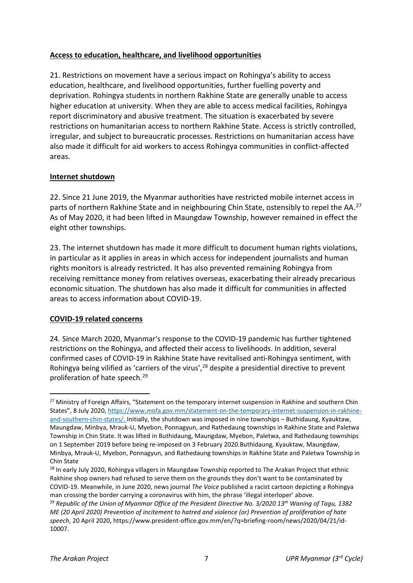#### **Access to education, healthcare, and livelihood opportunities**

21. Restrictions on movement have a serious impact on Rohingya's ability to access education, healthcare, and livelihood opportunities, further fuelling poverty and deprivation. Rohingya students in northern Rakhine State are generally unable to access higher education at university. When they are able to access medical facilities, Rohingya report discriminatory and abusive treatment. The situation is exacerbated by severe restrictions on humanitarian access to northern Rakhine State. Access is strictly controlled, irregular, and subject to bureaucratic processes. Restrictions on humanitarian access have also made it difficult for aid workers to access Rohingya communities in conflict-affected areas.

#### **Internet shutdown**

22. Since 21 June 2019, the Myanmar authorities have restricted mobile internet access in parts of northern Rakhine State and in neighbouring Chin State, ostensibly to repel the AA.<sup>[27](#page-7-0)</sup> As of May 2020, it had been lifted in Maungdaw Township, however remained in effect the eight other townships.

23. The internet shutdown has made it more difficult to document human rights violations, in particular as it applies in areas in which access for independent journalists and human rights monitors is already restricted. It has also prevented remaining Rohingya from receiving remittance money from relatives overseas, exacerbating their already precarious economic situation. The shutdown has also made it difficult for communities in affected areas to access information about COVID-19.

#### **COVID-19 related concerns**

1

24. Since March 2020, Myanmar's response to the COVID-19 pandemic has further tightened restrictions on the Rohingya, and affected their access to livelihoods. In addition, several confirmed cases of COVID-19 in Rakhine State have revitalised anti-Rohingya sentiment, with Rohingya being vilified as 'carriers of the virus',<sup>[28](#page-7-1)</sup> despite a presidential directive to prevent proliferation of hate speech.<sup>[29](#page-7-2)</sup>

<span id="page-7-0"></span><sup>&</sup>lt;sup>27</sup> Ministry of Foreign Affairs, "Statement on the temporary internet suspension in Rakhine and southern Chin States", 8 July 2020, [https://www.mofa.gov.mm/statement-on-the-temporary-internet-suspension-in-rakhine](https://www.mofa.gov.mm/statement-on-the-temporary-internet-suspension-in-rakhine-and-southern-chin-states/)[and-southern-chin-states/.](https://www.mofa.gov.mm/statement-on-the-temporary-internet-suspension-in-rakhine-and-southern-chin-states/) Initially, the shutdown was imposed in nine townships – Buthidaung, Kyauktaw, Maungdaw, Minbya, Mrauk-U, Myebon, Ponnagyun, and Rathedaung townships in Rakhine State and Paletwa Township in Chin State. It was lifted in Buthidaung, Maungdaw, Myebon, Paletwa, and Rathedaung townships on 1 September 2019 before being re-imposed on 3 February 2020.Buthidaung, Kyauktaw, Maungdaw, Minbya, Mrauk-U, Myebon, Ponnagyun, and Rathedaung townships in Rakhine State and Paletwa Township in Chin State

<span id="page-7-1"></span><sup>&</sup>lt;sup>28</sup> In early July 2020, Rohingya villagers in Maungdaw Township reported to The Arakan Project that ethnic Rakhine shop owners had refused to serve them on the grounds they don't want to be contaminated by COVID-19. Meanwhile, in June 2020, news journal *The Voice* published a racist cartoon depicting a Rohingya man crossing the border carrying a coronavirus with him, the phrase 'illegal interloper' above.

<span id="page-7-2"></span><sup>29</sup> *Republic of the Union of Myanmar Office of the President Directive No. 3/2020 13th Waning of Tagu, 1382 ME (20 April 2020) Prevention of incitement to hatred and violence (or) Prevention of proliferation of hate speech*, 20 April 2020, https://www.president-office.gov.mm/en/?q=briefing-room/news/2020/04/21/id-10007.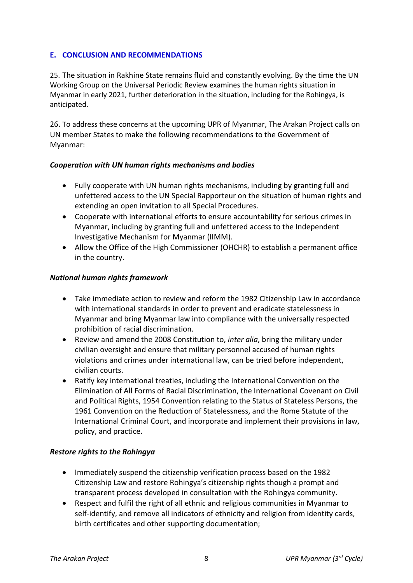#### **E. CONCLUSION AND RECOMMENDATIONS**

25. The situation in Rakhine State remains fluid and constantly evolving. By the time the UN Working Group on the Universal Periodic Review examines the human rights situation in Myanmar in early 2021, further deterioration in the situation, including for the Rohingya, is anticipated.

26. To address these concerns at the upcoming UPR of Myanmar, The Arakan Project calls on UN member States to make the following recommendations to the Government of Myanmar:

#### *Cooperation with UN human rights mechanisms and bodies*

- Fully cooperate with UN human rights mechanisms, including by granting full and unfettered access to the UN Special Rapporteur on the situation of human rights and extending an open invitation to all Special Procedures.
- Cooperate with international efforts to ensure accountability for serious crimes in Myanmar, including by granting full and unfettered access to the Independent Investigative Mechanism for Myanmar (IIMM).
- Allow the Office of the High Commissioner (OHCHR) to establish a permanent office in the country.

#### *National human rights framework*

- Take immediate action to review and reform the 1982 Citizenship Law in accordance with international standards in order to prevent and eradicate statelessness in Myanmar and bring Myanmar law into compliance with the universally respected prohibition of racial discrimination.
- Review and amend the 2008 Constitution to, *inter alia*, bring the military under civilian oversight and ensure that military personnel accused of human rights violations and crimes under international law, can be tried before independent, civilian courts.
- Ratify key international treaties, including the International Convention on the Elimination of All Forms of Racial Discrimination, the International Covenant on Civil and Political Rights, 1954 Convention relating to the Status of Stateless Persons, the 1961 Convention on the Reduction of Statelessness, and the Rome Statute of the International Criminal Court, and incorporate and implement their provisions in law, policy, and practice.

#### *Restore rights to the Rohingya*

- Immediately suspend the citizenship verification process based on the 1982 Citizenship Law and restore Rohingya's citizenship rights though a prompt and transparent process developed in consultation with the Rohingya community.
- Respect and fulfil the right of all ethnic and religious communities in Myanmar to self-identify, and remove all indicators of ethnicity and religion from identity cards, birth certificates and other supporting documentation;